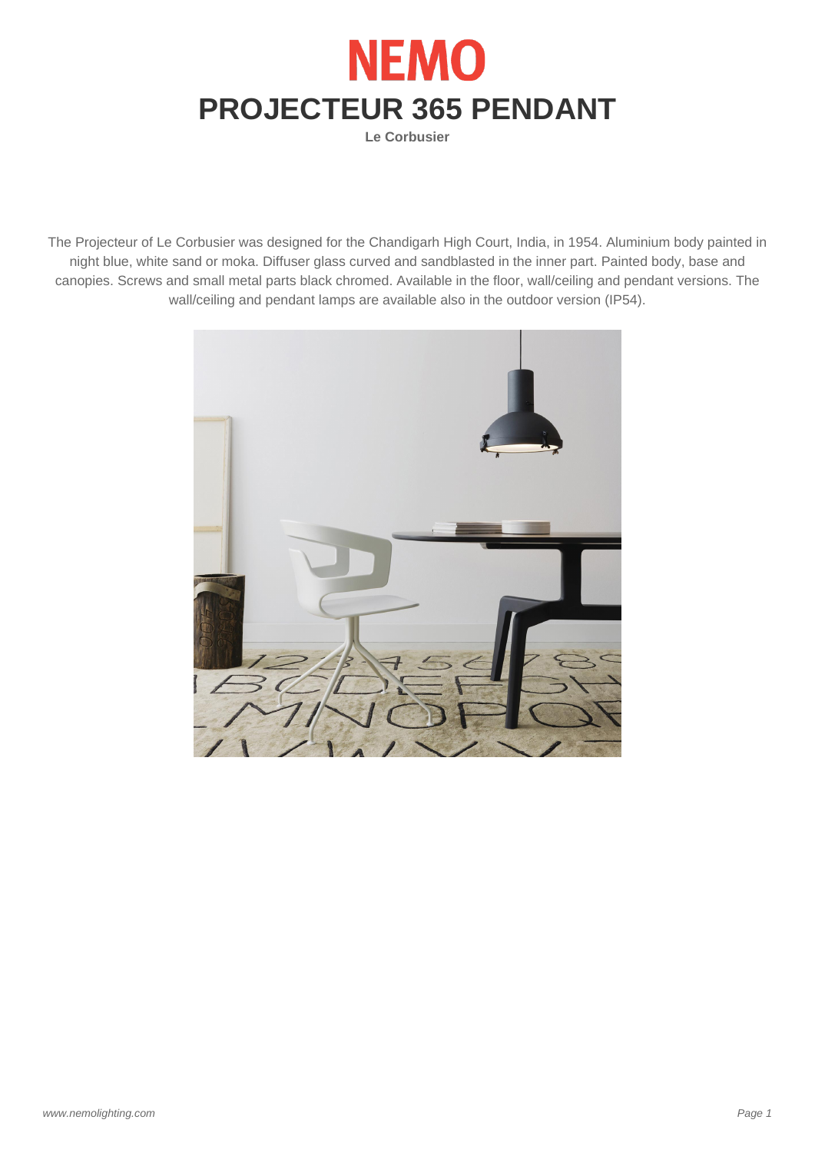

**Le Corbusier**

The Projecteur of Le Corbusier was designed for the Chandigarh High Court, India, in 1954. Aluminium body painted in night blue, white sand or moka. Diffuser glass curved and sandblasted in the inner part. Painted body, base and canopies. Screws and small metal parts black chromed. Available in the floor, wall/ceiling and pendant versions. The wall/ceiling and pendant lamps are available also in the outdoor version (IP54).

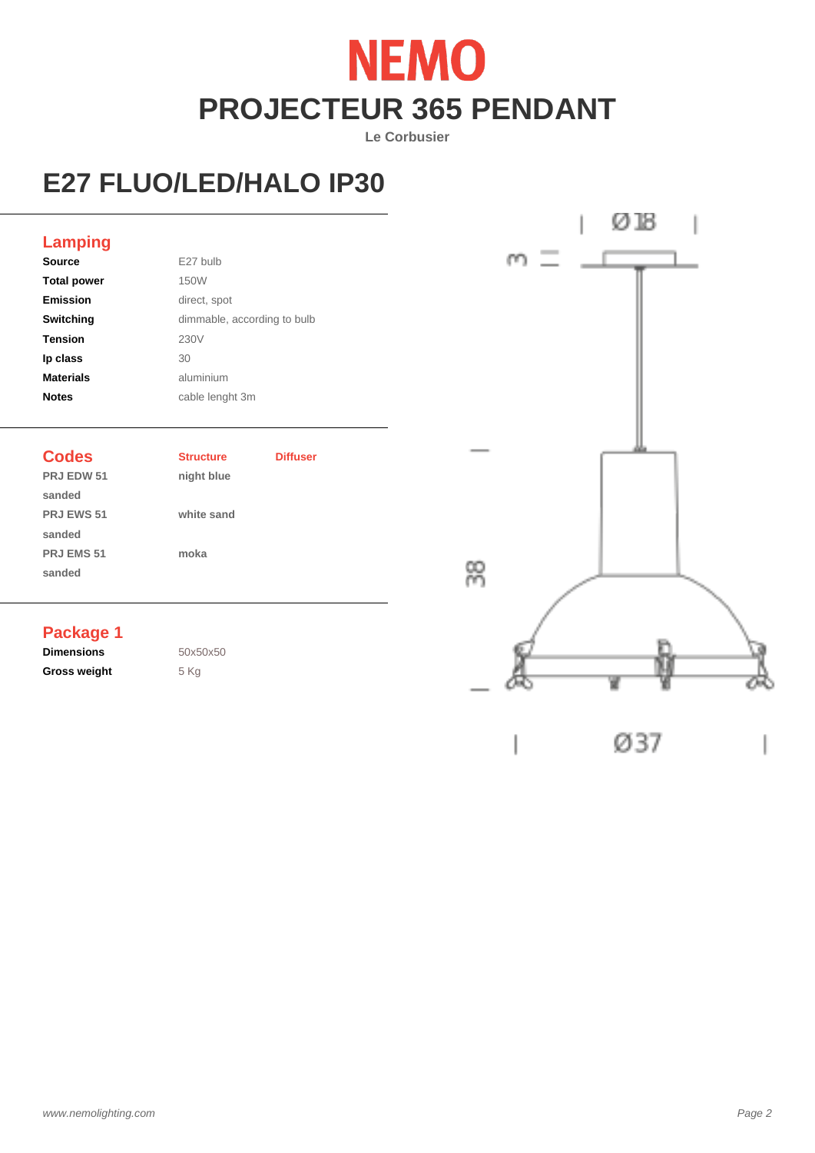# **NEMO PROJECTEUR 365 PENDANT**

**Le Corbusier**

## **E27 FLUO/LED/HALO IP30**



| <b>Source</b>      | E27 bulb                    |
|--------------------|-----------------------------|
| <b>Total power</b> | 150W                        |
| <b>Emission</b>    | direct, spot                |
| Switching          | dimmable, according to bulb |
| <b>Tension</b>     | 230V                        |
| Ip class           | 30                          |
| <b>Materials</b>   | aluminium                   |
| <b>Notes</b>       | cable lenght 3m             |
|                    |                             |

**PRJ EDW 51 night blue sanded PRJ EWS 51 white sand sanded PRJ EMS 51 moka sanded**

**Codes Structure Diffuser**

### **Package 1**

**Dimensions** 50x50x50 Gross weight **5 Kg**